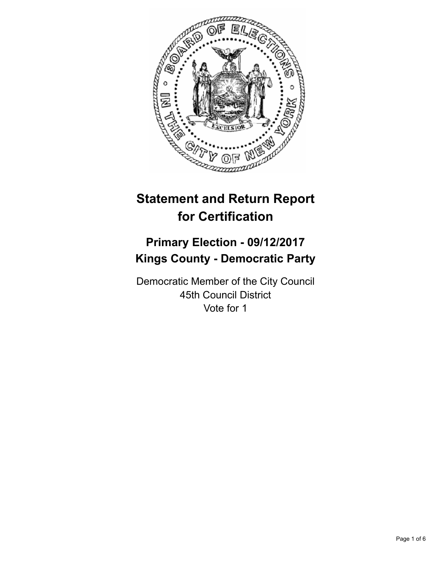

# **Statement and Return Report for Certification**

## **Primary Election - 09/12/2017 Kings County - Democratic Party**

Democratic Member of the City Council 45th Council District Vote for 1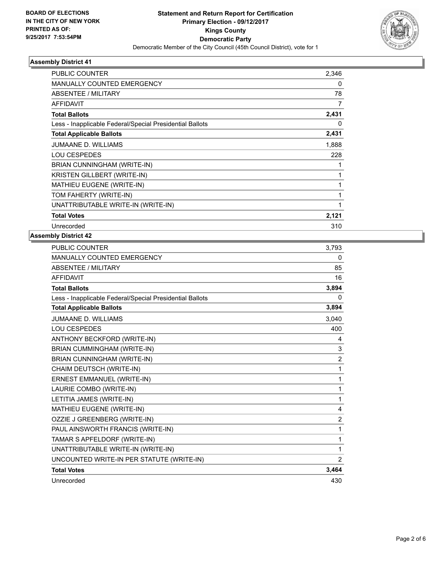

## **Assembly District 41**

| <b>PUBLIC COUNTER</b>                                    | 2,346 |
|----------------------------------------------------------|-------|
| <b>MANUALLY COUNTED EMERGENCY</b>                        | 0     |
| ABSENTEE / MILITARY                                      | 78    |
| AFFIDAVIT                                                | 7     |
| <b>Total Ballots</b>                                     | 2,431 |
| Less - Inapplicable Federal/Special Presidential Ballots | 0     |
| <b>Total Applicable Ballots</b>                          | 2,431 |
| <b>JUMAANE D. WILLIAMS</b>                               | 1,888 |
| <b>LOU CESPEDES</b>                                      | 228   |
| BRIAN CUNNINGHAM (WRITE-IN)                              |       |
| KRISTEN GILLBERT (WRITE-IN)                              | 1     |
| <b>MATHIEU EUGENE (WRITE-IN)</b>                         | 1     |
| TOM FAHERTY (WRITE-IN)                                   | 1     |
| UNATTRIBUTABLE WRITE-IN (WRITE-IN)                       | 1     |
| <b>Total Votes</b>                                       | 2,121 |
| Unrecorded                                               | 310   |

#### **Assembly District 42**

| <b>PUBLIC COUNTER</b>                                    | 3,793          |
|----------------------------------------------------------|----------------|
| <b>MANUALLY COUNTED EMERGENCY</b>                        | 0              |
| <b>ABSENTEE / MILITARY</b>                               | 85             |
| <b>AFFIDAVIT</b>                                         | 16             |
| <b>Total Ballots</b>                                     | 3,894          |
| Less - Inapplicable Federal/Special Presidential Ballots | 0              |
| <b>Total Applicable Ballots</b>                          | 3,894          |
| JUMAANE D. WILLIAMS                                      | 3,040          |
| <b>LOU CESPEDES</b>                                      | 400            |
| ANTHONY BECKFORD (WRITE-IN)                              | 4              |
| BRIAN CUMMINGHAM (WRITE-IN)                              | 3              |
| BRIAN CUNNINGHAM (WRITE-IN)                              | $\overline{2}$ |
| CHAIM DEUTSCH (WRITE-IN)                                 | 1              |
| ERNEST EMMANUEL (WRITE-IN)                               | 1              |
| LAURIE COMBO (WRITE-IN)                                  | 1              |
| LETITIA JAMES (WRITE-IN)                                 | 1              |
| MATHIEU EUGENE (WRITE-IN)                                | 4              |
| OZZIE J GREENBERG (WRITE-IN)                             | $\overline{2}$ |
| PAUL AINSWORTH FRANCIS (WRITE-IN)                        | 1              |
| TAMAR S APFELDORF (WRITE-IN)                             | 1              |
| UNATTRIBUTABLE WRITE-IN (WRITE-IN)                       | 1              |
| UNCOUNTED WRITE-IN PER STATUTE (WRITE-IN)                | 2              |
| <b>Total Votes</b>                                       | 3,464          |
| Unrecorded                                               | 430            |
|                                                          |                |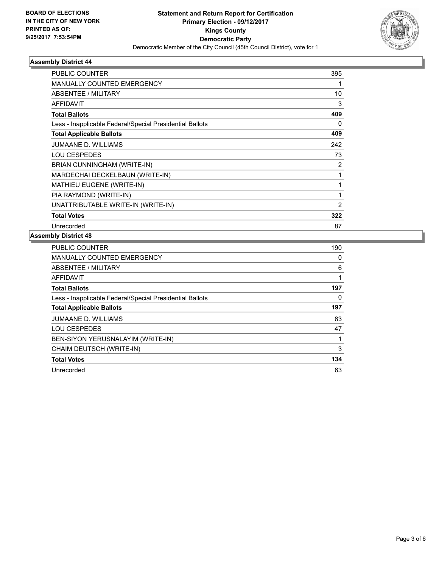

## **Assembly District 44**

| <b>PUBLIC COUNTER</b>                                    | 395 |
|----------------------------------------------------------|-----|
| <b>MANUALLY COUNTED EMERGENCY</b>                        |     |
| ABSENTEE / MILITARY                                      | 10  |
| <b>AFFIDAVIT</b>                                         | 3   |
| <b>Total Ballots</b>                                     | 409 |
| Less - Inapplicable Federal/Special Presidential Ballots | 0   |
| <b>Total Applicable Ballots</b>                          | 409 |
| JUMAANE D. WILLIAMS                                      | 242 |
| <b>LOU CESPEDES</b>                                      | 73  |
| BRIAN CUNNINGHAM (WRITE-IN)                              | 2   |
| MARDECHAI DECKELBAUN (WRITE-IN)                          | 1   |
| <b>MATHIEU EUGENE (WRITE-IN)</b>                         | 1   |
| PIA RAYMOND (WRITE-IN)                                   | 1   |
| UNATTRIBUTABLE WRITE-IN (WRITE-IN)                       | 2   |
| <b>Total Votes</b>                                       | 322 |
| Unrecorded                                               | 87  |

#### **Assembly District 48**

| <b>PUBLIC COUNTER</b>                                    | 190 |
|----------------------------------------------------------|-----|
| <b>MANUALLY COUNTED EMERGENCY</b>                        | 0   |
| ABSENTEE / MILITARY                                      | 6   |
| AFFIDAVIT                                                | 1   |
| <b>Total Ballots</b>                                     | 197 |
| Less - Inapplicable Federal/Special Presidential Ballots | 0   |
| <b>Total Applicable Ballots</b>                          | 197 |
| <b>JUMAANE D. WILLIAMS</b>                               | 83  |
| <b>LOU CESPEDES</b>                                      | 47  |
| BEN-SIYON YERUSNALAYIM (WRITE-IN)                        | 1   |
| CHAIM DEUTSCH (WRITE-IN)                                 | 3   |
| <b>Total Votes</b>                                       | 134 |
| Unrecorded                                               | 63  |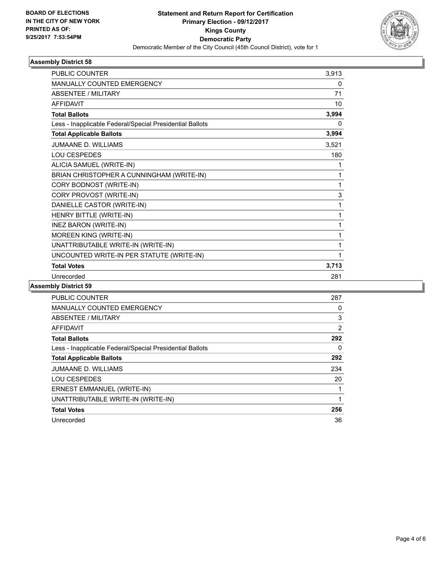

## **Assembly District 58**

| <b>PUBLIC COUNTER</b>                                    | 3,913 |
|----------------------------------------------------------|-------|
| MANUALLY COUNTED EMERGENCY                               | 0     |
| <b>ABSENTEE / MILITARY</b>                               | 71    |
| AFFIDAVIT                                                | 10    |
| <b>Total Ballots</b>                                     | 3,994 |
| Less - Inapplicable Federal/Special Presidential Ballots | 0     |
| <b>Total Applicable Ballots</b>                          | 3,994 |
| <b>JUMAANE D. WILLIAMS</b>                               | 3,521 |
| LOU CESPEDES                                             | 180   |
| ALICIA SAMUEL (WRITE-IN)                                 | 1     |
| BRIAN CHRISTOPHER A CUNNINGHAM (WRITE-IN)                | 1     |
| CORY BODNOST (WRITE-IN)                                  | 1     |
| CORY PROVOST (WRITE-IN)                                  | 3     |
| DANIELLE CASTOR (WRITE-IN)                               | 1     |
| HENRY BITTLE (WRITE-IN)                                  | 1     |
| <b>INEZ BARON (WRITE-IN)</b>                             | 1     |
| MOREEN KING (WRITE-IN)                                   | 1     |
| UNATTRIBUTABLE WRITE-IN (WRITE-IN)                       | 1     |
| UNCOUNTED WRITE-IN PER STATUTE (WRITE-IN)                | 1     |
| <b>Total Votes</b>                                       | 3,713 |
| Unrecorded                                               | 281   |

#### **Assembly District 59**

| <b>PUBLIC COUNTER</b>                                    | 287 |
|----------------------------------------------------------|-----|
| <b>MANUALLY COUNTED EMERGENCY</b>                        | 0   |
| ABSENTEE / MILITARY                                      | 3   |
| AFFIDAVIT                                                | 2   |
| <b>Total Ballots</b>                                     | 292 |
| Less - Inapplicable Federal/Special Presidential Ballots | 0   |
| <b>Total Applicable Ballots</b>                          | 292 |
| <b>JUMAANE D. WILLIAMS</b>                               | 234 |
| <b>LOU CESPEDES</b>                                      | 20  |
| ERNEST EMMANUEL (WRITE-IN)                               |     |
| UNATTRIBUTABLE WRITE-IN (WRITE-IN)                       | 1   |
| <b>Total Votes</b>                                       | 256 |
| Unrecorded                                               | 36  |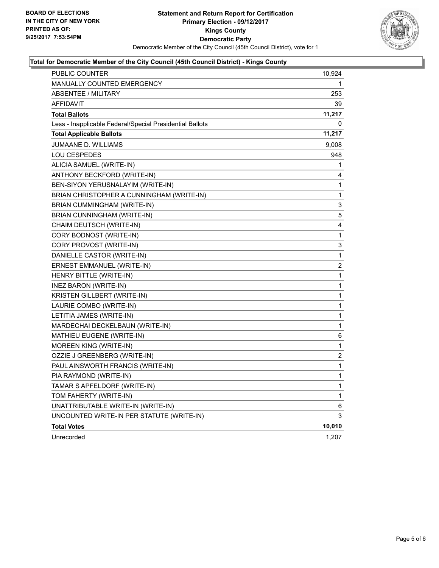

## **Total for Democratic Member of the City Council (45th Council District) - Kings County**

| <b>PUBLIC COUNTER</b>                                    | 10,924 |
|----------------------------------------------------------|--------|
| <b>MANUALLY COUNTED EMERGENCY</b>                        | 1      |
| <b>ABSENTEE / MILITARY</b>                               | 253    |
| AFFIDAVIT                                                | 39     |
| <b>Total Ballots</b>                                     | 11,217 |
| Less - Inapplicable Federal/Special Presidential Ballots | 0      |
| <b>Total Applicable Ballots</b>                          | 11,217 |
| <b>JUMAANE D. WILLIAMS</b>                               | 9,008  |
| <b>LOU CESPEDES</b>                                      | 948    |
| ALICIA SAMUEL (WRITE-IN)                                 | 1      |
| ANTHONY BECKFORD (WRITE-IN)                              | 4      |
| BEN-SIYON YERUSNALAYIM (WRITE-IN)                        | 1      |
| BRIAN CHRISTOPHER A CUNNINGHAM (WRITE-IN)                | 1      |
| BRIAN CUMMINGHAM (WRITE-IN)                              | 3      |
| BRIAN CUNNINGHAM (WRITE-IN)                              | 5      |
| CHAIM DEUTSCH (WRITE-IN)                                 | 4      |
| CORY BODNOST (WRITE-IN)                                  | 1      |
| CORY PROVOST (WRITE-IN)                                  | 3      |
| DANIELLE CASTOR (WRITE-IN)                               | 1      |
| ERNEST EMMANUEL (WRITE-IN)                               | 2      |
| HENRY BITTLE (WRITE-IN)                                  | 1      |
| INEZ BARON (WRITE-IN)                                    | 1      |
| KRISTEN GILLBERT (WRITE-IN)                              | 1      |
| LAURIE COMBO (WRITE-IN)                                  | 1      |
| LETITIA JAMES (WRITE-IN)                                 | 1      |
| MARDECHAI DECKELBAUN (WRITE-IN)                          | 1      |
| MATHIEU EUGENE (WRITE-IN)                                | 6      |
| MOREEN KING (WRITE-IN)                                   | 1      |
| OZZIE J GREENBERG (WRITE-IN)                             | 2      |
| PAUL AINSWORTH FRANCIS (WRITE-IN)                        | 1      |
| PIA RAYMOND (WRITE-IN)                                   | 1      |
| TAMAR S APFELDORF (WRITE-IN)                             | 1      |
| TOM FAHERTY (WRITE-IN)                                   | 1      |
| UNATTRIBUTABLE WRITE-IN (WRITE-IN)                       | 6      |
| UNCOUNTED WRITE-IN PER STATUTE (WRITE-IN)                | 3      |
| <b>Total Votes</b>                                       | 10,010 |
| Unrecorded                                               | 1,207  |